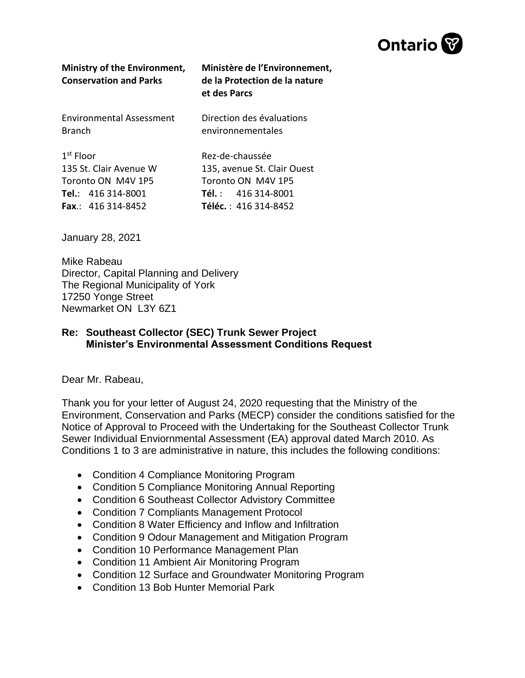

| <b>Ministry of the Environment,</b><br><b>Conservation and Parks</b> | Ministère de l'Environnement,<br>de la Protection de la nature<br>et des Parcs |
|----------------------------------------------------------------------|--------------------------------------------------------------------------------|
| <b>Environmental Assessment</b>                                      | Direction des évaluations                                                      |
| <b>Branch</b>                                                        | environnementales                                                              |
| $1st$ Floor                                                          | Rez-de-chaussée                                                                |
| 135 St. Clair Avenue W                                               | 135, avenue St. Clair Ouest                                                    |
| Toronto ON M4V 1P5                                                   | Toronto ON M4V 1P5                                                             |
| Tel.: $416314-8001$                                                  | <b>Tél.</b> : $416314-8001$                                                    |
| <b>Fax</b> : $416314-8452$                                           | <b>Téléc.</b> : 416 314-8452                                                   |

January 28, 2021

Mike Rabeau Director, Capital Planning and Delivery The Regional Municipality of York 17250 Yonge Street Newmarket ON L3Y 6Z1

## **Re: Southeast Collector (SEC) Trunk Sewer Project Minister's Environmental Assessment Conditions Request**

Dear Mr. Rabeau,

Thank you for your letter of August 24, 2020 requesting that the Ministry of the Environment, Conservation and Parks (MECP) consider the conditions satisfied for the Notice of Approval to Proceed with the Undertaking for the Southeast Collector Trunk Sewer Individual Enviornmental Assessment (EA) approval dated March 2010. As Conditions 1 to 3 are administrative in nature, this includes the following conditions:

- Condition 4 Compliance Monitoring Program
- Condition 5 Compliance Monitoring Annual Reporting
- Condition 6 Southeast Collector Advistory Committee
- Condition 7 Compliants Management Protocol
- Condition 8 Water Efficiency and Inflow and Infiltration
- Condition 9 Odour Management and Mitigation Program
- Condition 10 Performance Management Plan
- Condition 11 Ambient Air Monitoring Program
- Condition 12 Surface and Groundwater Monitoring Program
- Condition 13 Bob Hunter Memorial Park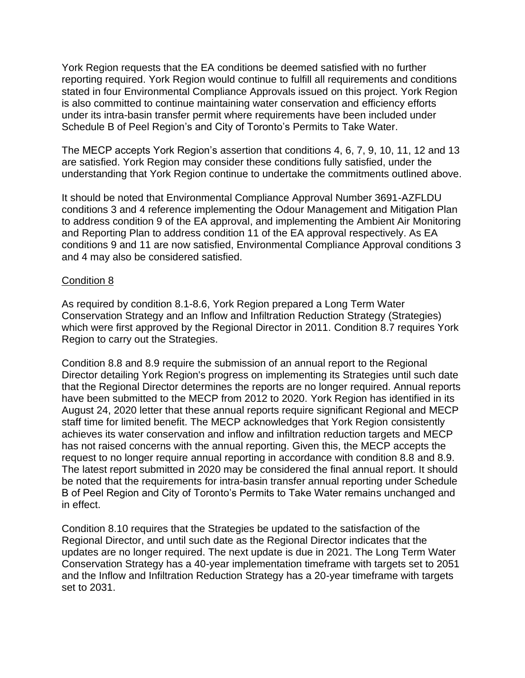York Region requests that the EA conditions be deemed satisfied with no further reporting required. York Region would continue to fulfill all requirements and conditions stated in four Environmental Compliance Approvals issued on this project. York Region is also committed to continue maintaining water conservation and efficiency efforts under its intra-basin transfer permit where requirements have been included under Schedule B of Peel Region's and City of Toronto's Permits to Take Water.

The MECP accepts York Region's assertion that conditions 4, 6, 7, 9, 10, 11, 12 and 13 are satisfied. York Region may consider these conditions fully satisfied, under the understanding that York Region continue to undertake the commitments outlined above.

It should be noted that Environmental Compliance Approval Number 3691-AZFLDU conditions 3 and 4 reference implementing the Odour Management and Mitigation Plan to address condition 9 of the EA approval, and implementing the Ambient Air Monitoring and Reporting Plan to address condition 11 of the EA approval respectively. As EA conditions 9 and 11 are now satisfied, Environmental Compliance Approval conditions 3 and 4 may also be considered satisfied.

## Condition 8

As required by condition 8.1-8.6, York Region prepared a Long Term Water Conservation Strategy and an Inflow and Infiltration Reduction Strategy (Strategies) which were first approved by the Regional Director in 2011. Condition 8.7 requires York Region to carry out the Strategies.

Condition 8.8 and 8.9 require the submission of an annual report to the Regional Director detailing York Region's progress on implementing its Strategies until such date that the Regional Director determines the reports are no longer required. Annual reports have been submitted to the MECP from 2012 to 2020. York Region has identified in its August 24, 2020 letter that these annual reports require significant Regional and MECP staff time for limited benefit. The MECP acknowledges that York Region consistently achieves its water conservation and inflow and infiltration reduction targets and MECP has not raised concerns with the annual reporting. Given this, the MECP accepts the request to no longer require annual reporting in accordance with condition 8.8 and 8.9. The latest report submitted in 2020 may be considered the final annual report. It should be noted that the requirements for intra-basin transfer annual reporting under Schedule B of Peel Region and City of Toronto's Permits to Take Water remains unchanged and in effect.

Condition 8.10 requires that the Strategies be updated to the satisfaction of the Regional Director, and until such date as the Regional Director indicates that the updates are no longer required. The next update is due in 2021. The Long Term Water Conservation Strategy has a 40-year implementation timeframe with targets set to 2051 and the Inflow and Infiltration Reduction Strategy has a 20-year timeframe with targets set to 2031.